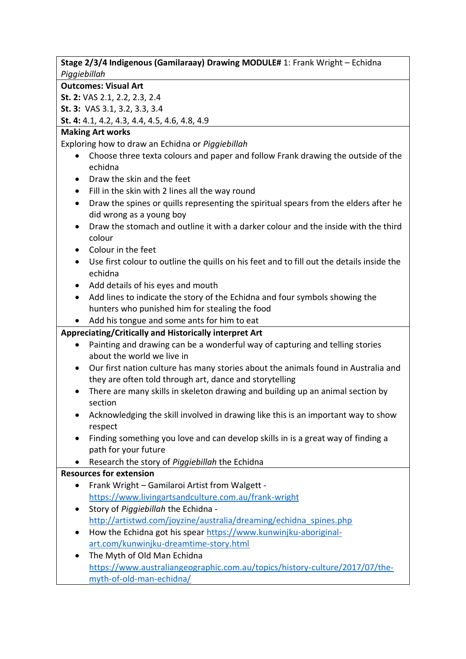**Stage 2/3/4 Indigenous (Gamilaraay) Drawing MODULE#** 1: Frank Wright – Echidna *Piggiebillah*

#### **Outcomes: Visual Art**

**St. 2:** VAS 2.1, 2.2, 2.3, 2.4

**St. 3:** VAS 3.1, 3.2, 3.3, 3.4

**St. 4:** 4.1, 4.2, 4.3, 4.4, 4.5, 4.6, 4.8, 4.9

#### **Making Art works**

Exploring how to draw an Echidna or *Piggiebillah*

- Choose three texta colours and paper and follow Frank drawing the outside of the echidna
- Draw the skin and the feet
- Fill in the skin with 2 lines all the way round
- Draw the spines or quills representing the spiritual spears from the elders after he did wrong as a young boy
- Draw the stomach and outline it with a darker colour and the inside with the third colour
- Colour in the feet
- Use first colour to outline the quills on his feet and to fill out the details inside the echidna
- Add details of his eyes and mouth
- Add lines to indicate the story of the Echidna and four symbols showing the hunters who punished him for stealing the food
- Add his tongue and some ants for him to eat

# **Appreciating/Critically and Historically interpret Art**

- Painting and drawing can be a wonderful way of capturing and telling stories about the world we live in
- Our first nation culture has many stories about the animals found in Australia and they are often told through art, dance and storytelling
- There are many skills in skeleton drawing and building up an animal section by section
- Acknowledging the skill involved in drawing like this is an important way to show respect
- Finding something you love and can develop skills in is a great way of finding a path for your future
- Research the story of *Piggiebillah* the Echidna

- Frank Wright Gamilaroi Artist from Walgett <https://www.livingartsandculture.com.au/frank-wright>
- Story of *Piggiebillah* the Echidna [http://artistwd.com/joyzine/australia/dreaming/echidna\\_spines.php](http://artistwd.com/joyzine/australia/dreaming/echidna_spines.php)
- How the Echidna got his spear [https://www.kunwinjku-aboriginal](https://www.kunwinjku-aboriginal-art.com/kunwinjku-dreamtime-story.html)[art.com/kunwinjku-dreamtime-story.html](https://www.kunwinjku-aboriginal-art.com/kunwinjku-dreamtime-story.html)
- The Myth of Old Man Echidna [https://www.australiangeographic.com.au/topics/history-culture/2017/07/the](https://www.australiangeographic.com.au/topics/history-culture/2017/07/the-myth-of-old-man-echidna/)[myth-of-old-man-echidna/](https://www.australiangeographic.com.au/topics/history-culture/2017/07/the-myth-of-old-man-echidna/)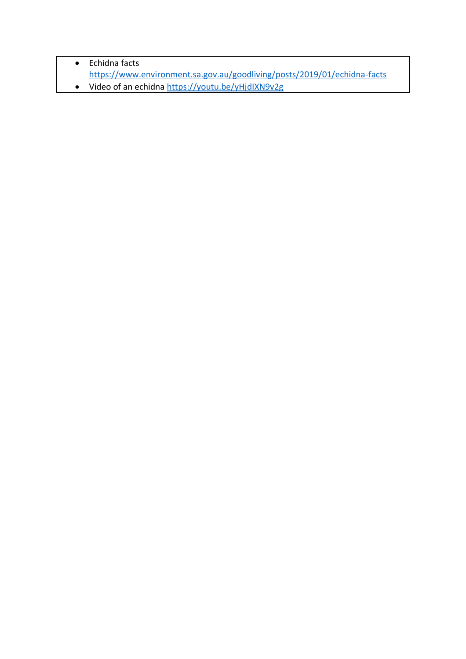• Echidna facts

<https://www.environment.sa.gov.au/goodliving/posts/2019/01/echidna-facts>

• Video of an echidna<https://youtu.be/yHjdIXN9v2g>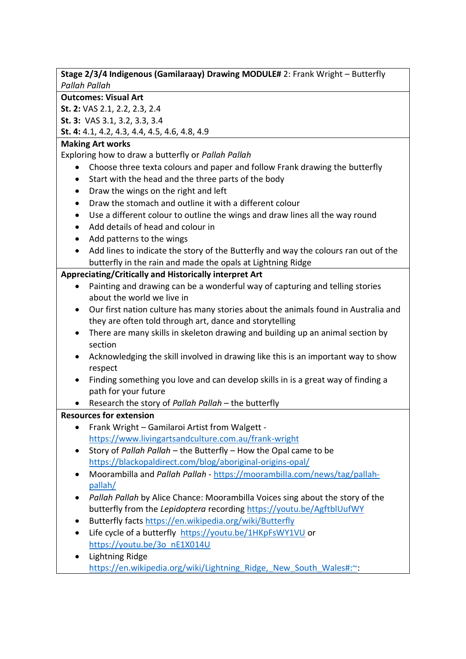#### **Stage 2/3/4 Indigenous (Gamilaraay) Drawing MODULE#** 2: Frank Wright – Butterfly *Pallah Pallah*

#### **Outcomes: Visual Art**

**St. 2:** VAS 2.1, 2.2, 2.3, 2.4

**St. 3:** VAS 3.1, 3.2, 3.3, 3.4

**St. 4:** 4.1, 4.2, 4.3, 4.4, 4.5, 4.6, 4.8, 4.9

# **Making Art works**

Exploring how to draw a butterfly or *Pallah Pallah*

- Choose three texta colours and paper and follow Frank drawing the butterfly
- Start with the head and the three parts of the body
- Draw the wings on the right and left
- Draw the stomach and outline it with a different colour
- Use a different colour to outline the wings and draw lines all the way round
- Add details of head and colour in
- Add patterns to the wings
- Add lines to indicate the story of the Butterfly and way the colours ran out of the butterfly in the rain and made the opals at Lightning Ridge

## **Appreciating/Critically and Historically interpret Art**

- Painting and drawing can be a wonderful way of capturing and telling stories about the world we live in
- Our first nation culture has many stories about the animals found in Australia and they are often told through art, dance and storytelling
- There are many skills in skeleton drawing and building up an animal section by section
- Acknowledging the skill involved in drawing like this is an important way to show respect
- Finding something you love and can develop skills in is a great way of finding a path for your future
- Research the story of *Pallah Pallah* the butterfly

- Frank Wright Gamilaroi Artist from Walgett <https://www.livingartsandculture.com.au/frank-wright>
- Story of *Pallah Pallah* the Butterfly How the Opal came to be <https://blackopaldirect.com/blog/aboriginal-origins-opal/>
- Moorambilla and *Pallah Pallah* [https://moorambilla.com/news/tag/pallah](https://moorambilla.com/news/tag/pallah-pallah/)[pallah/](https://moorambilla.com/news/tag/pallah-pallah/)
- *Pallah Pallah* by Alice Chance: Moorambilla Voices sing about the story of the butterfly from the *Lepidoptera* recording<https://youtu.be/AgftblUufWY>
- Butterfly facts<https://en.wikipedia.org/wiki/Butterfly>
- Life cycle of a butterfly <https://youtu.be/1HKpFsWY1VU> or [https://youtu.be/3o\\_nE1X014U](https://youtu.be/3o_nE1X014U)
- Lightning Ridge [https://en.wikipedia.org/wiki/Lightning\\_Ridge,\\_New\\_South\\_Wales#:~:](https://en.wikipedia.org/wiki/Lightning_Ridge,_New_South_Wales#:~)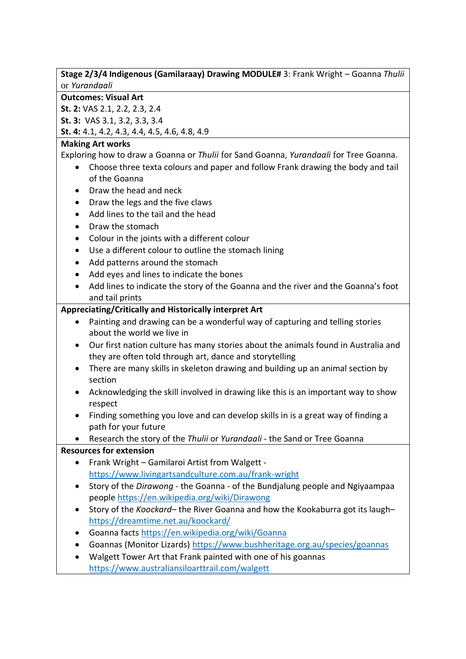#### **Stage 2/3/4 Indigenous (Gamilaraay) Drawing MODULE#** 3: Frank Wright – Goanna *Thulii* or *Yurandaali*

#### **Outcomes: Visual Art**

**St. 2:** VAS 2.1, 2.2, 2.3, 2.4

**St. 3:** VAS 3.1, 3.2, 3.3, 3.4

**St. 4:** 4.1, 4.2, 4.3, 4.4, 4.5, 4.6, 4.8, 4.9

## **Making Art works**

Exploring how to draw a Goanna or *Thulii* for Sand Goanna, *Yurandaali* for Tree Goanna.

- Choose three texta colours and paper and follow Frank drawing the body and tail of the Goanna
- Draw the head and neck
- Draw the legs and the five claws
- Add lines to the tail and the head
- Draw the stomach
- Colour in the joints with a different colour
- Use a different colour to outline the stomach lining
- Add patterns around the stomach
- Add eyes and lines to indicate the bones
- Add lines to indicate the story of the Goanna and the river and the Goanna's foot and tail prints

# **Appreciating/Critically and Historically interpret Art**

- Painting and drawing can be a wonderful way of capturing and telling stories about the world we live in
- Our first nation culture has many stories about the animals found in Australia and they are often told through art, dance and storytelling
- There are many skills in skeleton drawing and building up an animal section by section
- Acknowledging the skill involved in drawing like this is an important way to show respect
- Finding something you love and can develop skills in is a great way of finding a path for your future

## • Research the story of the *Thulii* or *Yurandaali* - the Sand or Tree Goanna

- Frank Wright Gamilaroi Artist from Walgett <https://www.livingartsandculture.com.au/frank-wright>
- Story of the *Dirawong* the Goanna of the Bundjalung people and Ngiyaampaa people<https://en.wikipedia.org/wiki/Dirawong>
- Story of the *Koockard* the River Goanna and how the Kookaburra got its laugh– <https://dreamtime.net.au/koockard/>
- Goanna facts<https://en.wikipedia.org/wiki/Goanna>
- Goannas (Monitor Lizards)<https://www.bushheritage.org.au/species/goannas>
- Walgett Tower Art that Frank painted with one of his goannas <https://www.australiansiloarttrail.com/walgett>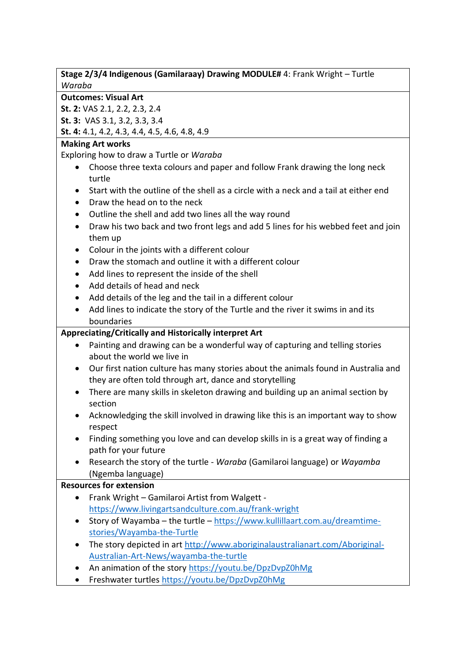**Stage 2/3/4 Indigenous (Gamilaraay) Drawing MODULE#** 4: Frank Wright – Turtle *Waraba*

#### **Outcomes: Visual Art**

**St. 2:** VAS 2.1, 2.2, 2.3, 2.4

**St. 3:** VAS 3.1, 3.2, 3.3, 3.4

**St. 4:** 4.1, 4.2, 4.3, 4.4, 4.5, 4.6, 4.8, 4.9

## **Making Art works**

Exploring how to draw a Turtle or *Waraba*

- Choose three texta colours and paper and follow Frank drawing the long neck turtle
- Start with the outline of the shell as a circle with a neck and a tail at either end
- Draw the head on to the neck
- Outline the shell and add two lines all the way round
- Draw his two back and two front legs and add 5 lines for his webbed feet and join them up
- Colour in the joints with a different colour
- Draw the stomach and outline it with a different colour
- Add lines to represent the inside of the shell
- Add details of head and neck
- Add details of the leg and the tail in a different colour
- Add lines to indicate the story of the Turtle and the river it swims in and its boundaries

# **Appreciating/Critically and Historically interpret Art**

- Painting and drawing can be a wonderful way of capturing and telling stories about the world we live in
- Our first nation culture has many stories about the animals found in Australia and they are often told through art, dance and storytelling
- There are many skills in skeleton drawing and building up an animal section by section
- Acknowledging the skill involved in drawing like this is an important way to show respect
- Finding something you love and can develop skills in is a great way of finding a path for your future
- Research the story of the turtle *Waraba* (Gamilaroi language) or *Wayamba* (Ngemba language)

- Frank Wright Gamilaroi Artist from Walgett <https://www.livingartsandculture.com.au/frank-wright>
- Story of Wayamba the turtle [https://www.kullillaart.com.au/dreamtime](https://www.kullillaart.com.au/dreamtime-stories/Wayamba-the-Turtle)[stories/Wayamba-the-Turtle](https://www.kullillaart.com.au/dreamtime-stories/Wayamba-the-Turtle)
- The story depicted in art [http://www.aboriginalaustralianart.com/Aboriginal-](http://www.aboriginalaustralianart.com/Aboriginal-Australian-Art-News/wayamba-the-turtle)[Australian-Art-News/wayamba-the-turtle](http://www.aboriginalaustralianart.com/Aboriginal-Australian-Art-News/wayamba-the-turtle)
- An animation of the story<https://youtu.be/DpzDvpZ0hMg>
- Freshwater turtles<https://youtu.be/DpzDvpZ0hMg>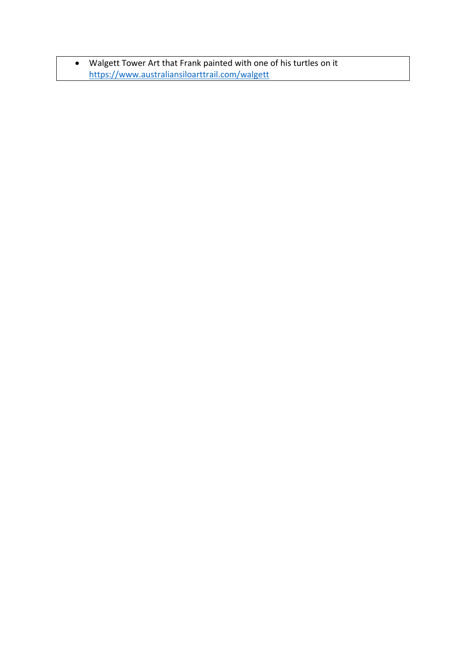• Walgett Tower Art that Frank painted with one of his turtles on it <https://www.australiansiloarttrail.com/walgett>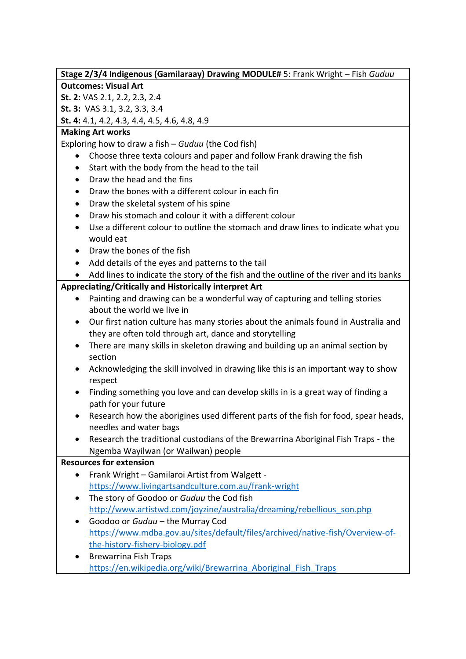**Stage 2/3/4 Indigenous (Gamilaraay) Drawing MODULE#** 5: Frank Wright – Fish *Guduu*

#### **Outcomes: Visual Art**

**St. 2:** VAS 2.1, 2.2, 2.3, 2.4

**St. 3:** VAS 3.1, 3.2, 3.3, 3.4

**St. 4:** 4.1, 4.2, 4.3, 4.4, 4.5, 4.6, 4.8, 4.9

#### **Making Art works**

Exploring how to draw a fish – *Guduu* (the Cod fish)

- Choose three texta colours and paper and follow Frank drawing the fish
- Start with the body from the head to the tail
- Draw the head and the fins
- Draw the bones with a different colour in each fin
- Draw the skeletal system of his spine
- Draw his stomach and colour it with a different colour
- Use a different colour to outline the stomach and draw lines to indicate what you would eat
- Draw the bones of the fish
- Add details of the eyes and patterns to the tail
- Add lines to indicate the story of the fish and the outline of the river and its banks

#### **Appreciating/Critically and Historically interpret Art**

- Painting and drawing can be a wonderful way of capturing and telling stories about the world we live in
- Our first nation culture has many stories about the animals found in Australia and they are often told through art, dance and storytelling
- There are many skills in skeleton drawing and building up an animal section by section
- Acknowledging the skill involved in drawing like this is an important way to show respect
- Finding something you love and can develop skills in is a great way of finding a path for your future
- Research how the aborigines used different parts of the fish for food, spear heads, needles and water bags
- Research the traditional custodians of the Brewarrina Aboriginal Fish Traps the Ngemba Wayilwan (or Wailwan) people

- Frank Wright Gamilaroi Artist from Walgett <https://www.livingartsandculture.com.au/frank-wright>
- The story of Goodoo or *Guduu* the Cod fish [http://www.artistwd.com/joyzine/australia/dreaming/rebellious\\_son.php](http://www.artistwd.com/joyzine/australia/dreaming/rebellious_son.php)
- Goodoo or *Guduu* the Murray Cod [https://www.mdba.gov.au/sites/default/files/archived/native-fish/Overview-of](https://www.mdba.gov.au/sites/default/files/archived/native-fish/Overview-of-the-history-fishery-biology.pdf)[the-history-fishery-biology.pdf](https://www.mdba.gov.au/sites/default/files/archived/native-fish/Overview-of-the-history-fishery-biology.pdf)
- Brewarrina Fish Traps https://en.wikipedia.org/wiki/Brewarrina Aboriginal Fish Traps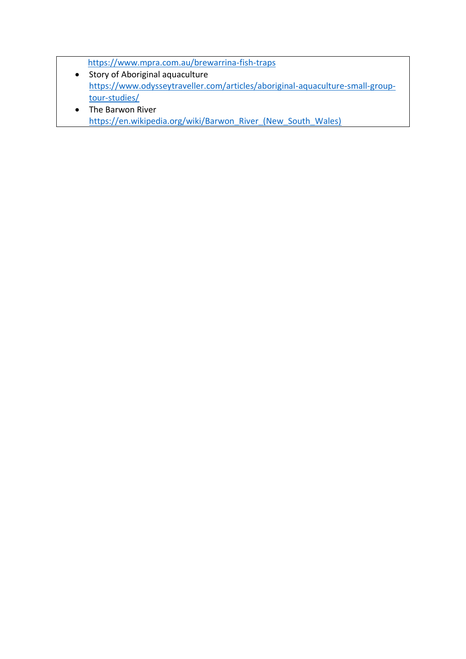<https://www.mpra.com.au/brewarrina-fish-traps>

- Story of Aboriginal aquaculture [https://www.odysseytraveller.com/articles/aboriginal-aquaculture-small-group](https://www.odysseytraveller.com/articles/aboriginal-aquaculture-small-group-tour-studies/)[tour-studies/](https://www.odysseytraveller.com/articles/aboriginal-aquaculture-small-group-tour-studies/)
- The Barwon River [https://en.wikipedia.org/wiki/Barwon\\_River\\_\(New\\_South\\_Wales\)](https://en.wikipedia.org/wiki/Barwon_River_(New_South_Wales))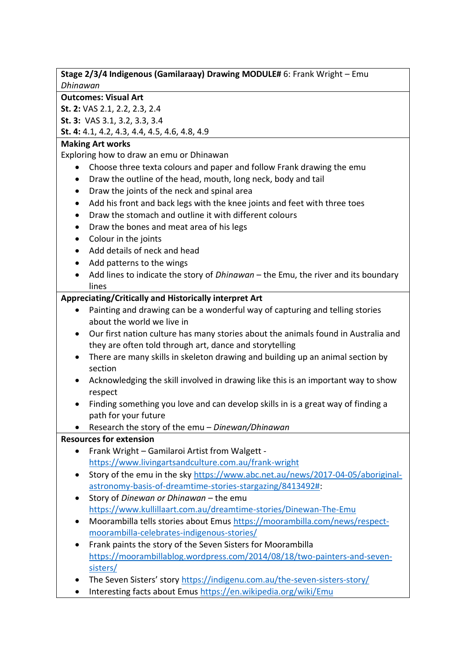#### **Stage 2/3/4 Indigenous (Gamilaraay) Drawing MODULE#** 6: Frank Wright – Emu *Dhinawan*

#### **Outcomes: Visual Art**

**St. 2:** VAS 2.1, 2.2, 2.3, 2.4

**St. 3:** VAS 3.1, 3.2, 3.3, 3.4

**St. 4:** 4.1, 4.2, 4.3, 4.4, 4.5, 4.6, 4.8, 4.9

## **Making Art works**

Exploring how to draw an emu or Dhinawan

- Choose three texta colours and paper and follow Frank drawing the emu
- Draw the outline of the head, mouth, long neck, body and tail
- Draw the joints of the neck and spinal area
- Add his front and back legs with the knee joints and feet with three toes
- Draw the stomach and outline it with different colours
- Draw the bones and meat area of his legs
- Colour in the joints
- Add details of neck and head
- Add patterns to the wings
- Add lines to indicate the story of *Dhinawan* the Emu, the river and its boundary lines

## **Appreciating/Critically and Historically interpret Art**

- Painting and drawing can be a wonderful way of capturing and telling stories about the world we live in
- Our first nation culture has many stories about the animals found in Australia and they are often told through art, dance and storytelling
- There are many skills in skeleton drawing and building up an animal section by section
- Acknowledging the skill involved in drawing like this is an important way to show respect
- Finding something you love and can develop skills in is a great way of finding a path for your future
- Research the story of the emu *Dinewan/Dhinawan*

- Frank Wright Gamilaroi Artist from Walgett <https://www.livingartsandculture.com.au/frank-wright>
- Story of the emu in the sky [https://www.abc.net.au/news/2017-04-05/aboriginal](https://www.abc.net.au/news/2017-04-05/aboriginal-astronomy-basis-of-dreamtime-stories-stargazing/8413492)[astronomy-basis-of-dreamtime-stories-stargazing/8413492#:](https://www.abc.net.au/news/2017-04-05/aboriginal-astronomy-basis-of-dreamtime-stories-stargazing/8413492)
- Story of *Dinewan or Dhinawan* the emu <https://www.kullillaart.com.au/dreamtime-stories/Dinewan-The-Emu>
- Moorambilla tells stories about Emus [https://moorambilla.com/news/respect](https://moorambilla.com/news/respect-moorambilla-celebrates-indigenous-stories/)[moorambilla-celebrates-indigenous-stories/](https://moorambilla.com/news/respect-moorambilla-celebrates-indigenous-stories/)
- Frank paints the story of the Seven Sisters for Moorambilla [https://moorambillablog.wordpress.com/2014/08/18/two-painters-and-seven](https://moorambillablog.wordpress.com/2014/08/18/two-painters-and-seven-sisters/)[sisters/](https://moorambillablog.wordpress.com/2014/08/18/two-painters-and-seven-sisters/)
- The Seven Sisters' story <https://indigenu.com.au/the-seven-sisters-story/>
- Interesting facts about Emus<https://en.wikipedia.org/wiki/Emu>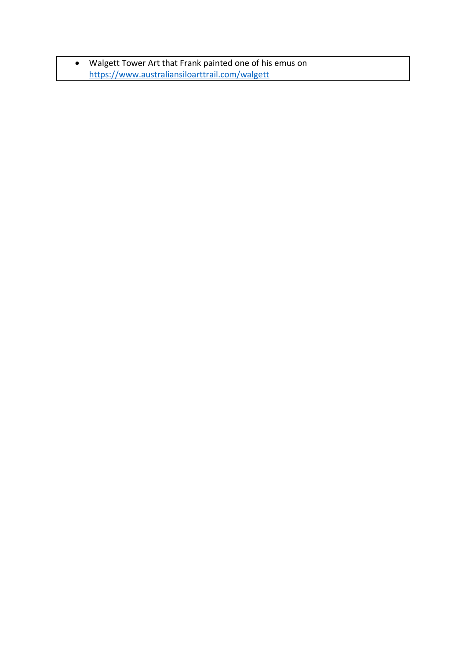• Walgett Tower Art that Frank painted one of his emus on <https://www.australiansiloarttrail.com/walgett>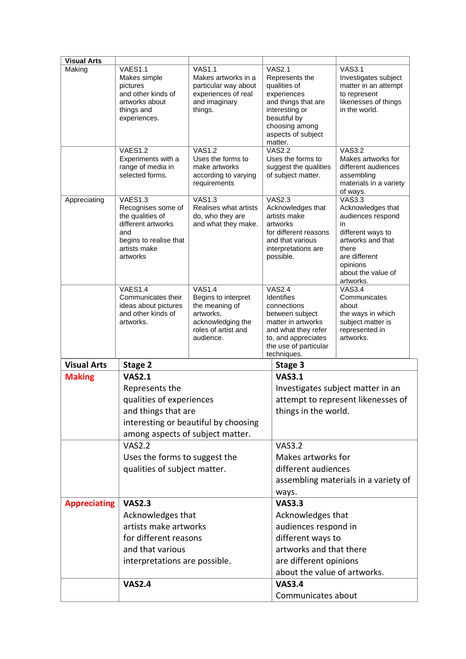| <b>Visual Arts</b>  |                                                                                                                                                                |                                                                                                                              |                                                                                                                                                                                  |                                                                                                                                                                                  |  |
|---------------------|----------------------------------------------------------------------------------------------------------------------------------------------------------------|------------------------------------------------------------------------------------------------------------------------------|----------------------------------------------------------------------------------------------------------------------------------------------------------------------------------|----------------------------------------------------------------------------------------------------------------------------------------------------------------------------------|--|
| Making              | <b>VAES1.1</b><br>Makes simple<br>pictures<br>and other kinds of<br>artworks about<br>things and<br>experiences.                                               | <b>VAS1.1</b><br>Makes artworks in a<br>particular way about<br>experiences of real<br>and imaginary<br>things.              | <b>VAS2.1</b><br>Represents the<br>qualities of<br>experiences<br>and things that are<br>interesting or<br>beautiful by<br>choosing among<br>aspects of subject<br>matter.       | <b>VAS3.1</b><br>Investigates subject<br>matter in an attempt<br>to represent<br>likenesses of things<br>in the world.                                                           |  |
|                     | <b>VAES1.2</b><br>Experiments with a<br>range of media in<br>selected forms.                                                                                   | VAS1.2<br>Uses the forms to<br>make artworks<br>according to varying<br>requirements                                         | <b>VAS2.2</b><br>Uses the forms to<br>suggest the qualities<br>of subject matter.                                                                                                | <b>VAS3.2</b><br>Makes artworks for<br>different audiences<br>assembling<br>materials in a variety<br>of ways.                                                                   |  |
| Appreciating        | VAES1.3<br>Recognises some of<br>the qualities of<br>different artworks<br>and<br>begins to realise that<br>artists make<br>artworks                           | <b>VAS1.3</b><br>Realises what artists<br>do, who they are<br>and what they make.                                            | <b>VAS2.3</b><br>Acknowledges that<br>artists make<br>artworks<br>for different reasons<br>and that various<br>interpretations are<br>possible.                                  | <b>VAS3.3</b><br>Acknowledges that<br>audiences respond<br>in<br>different ways to<br>artworks and that<br>there<br>are different<br>opinions<br>about the value of<br>artworks. |  |
|                     | <b>VAES1.4</b><br>Communicates their<br>ideas about pictures<br>and other kinds of<br>artworks.                                                                | <b>VAS1.4</b><br>Begins to interpret<br>the meaning of<br>artworks,<br>acknowledging the<br>roles of artist and<br>audience. | <b>VAS2.4</b><br><b>Identifies</b><br>connections<br>between subject<br>matter in artworks<br>and what they refer<br>to, and appreciates<br>the use of particular<br>techniques. | <b>VAS3.4</b><br>Communicates<br>about<br>the ways in which<br>subject matter is<br>represented in<br>artworks.                                                                  |  |
| <b>Visual Arts</b>  | Stage 2                                                                                                                                                        |                                                                                                                              | Stage 3                                                                                                                                                                          |                                                                                                                                                                                  |  |
| <b>Making</b>       | <b>VAS2.1</b><br>Represents the<br>qualities of experiences<br>and things that are<br>interesting or beautiful by choosing<br>among aspects of subject matter. |                                                                                                                              | <b>VAS3.1</b>                                                                                                                                                                    | Investigates subject matter in an<br>attempt to represent likenesses of<br>things in the world.                                                                                  |  |
|                     | <b>VAS2.2</b><br>Uses the forms to suggest the<br>qualities of subject matter.                                                                                 |                                                                                                                              | <b>VAS3.2</b><br>ways.                                                                                                                                                           | Makes artworks for<br>different audiences<br>assembling materials in a variety of                                                                                                |  |
| <b>Appreciating</b> | <b>VAS2.3</b><br>Acknowledges that<br>artists make artworks<br>for different reasons<br>and that various<br>interpretations are possible.                      |                                                                                                                              | <b>VAS3.3</b><br>Acknowledges that<br>audiences respond in<br>different ways to<br>artworks and that there<br>are different opinions<br>about the value of artworks.             |                                                                                                                                                                                  |  |
|                     | <b>VAS2.4</b>                                                                                                                                                  |                                                                                                                              | <b>VAS3.4</b><br>Communicates about                                                                                                                                              |                                                                                                                                                                                  |  |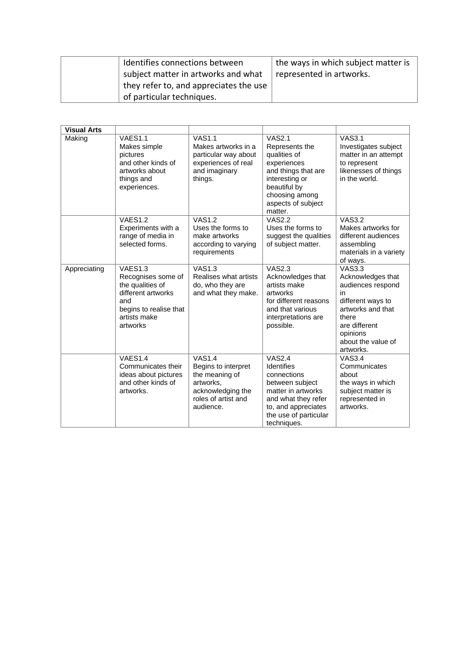|  | Identifies connections between         | the ways in which subject matter is |  |
|--|----------------------------------------|-------------------------------------|--|
|  | subject matter in artworks and what    | represented in artworks.            |  |
|  | they refer to, and appreciates the use |                                     |  |
|  | of particular techniques.              |                                     |  |

| <b>Visual Arts</b> |                                                                                                                                      |                                                                                                                              |                                                                                                                                                                                  |                                                                                                                                                                                  |
|--------------------|--------------------------------------------------------------------------------------------------------------------------------------|------------------------------------------------------------------------------------------------------------------------------|----------------------------------------------------------------------------------------------------------------------------------------------------------------------------------|----------------------------------------------------------------------------------------------------------------------------------------------------------------------------------|
| Making             | <b>VAES1.1</b><br>Makes simple<br>pictures<br>and other kinds of<br>artworks about<br>things and<br>experiences.                     | <b>VAS1.1</b><br>Makes artworks in a<br>particular way about<br>experiences of real<br>and imaginary<br>things.              | <b>VAS2.1</b><br>Represents the<br>qualities of<br>experiences<br>and things that are<br>interesting or<br>beautiful by<br>choosing among<br>aspects of subject<br>matter.       | <b>VAS3.1</b><br>Investigates subject<br>matter in an attempt<br>to represent<br>likenesses of things<br>in the world.                                                           |
|                    | <b>VAES1.2</b><br>Experiments with a<br>range of media in<br>selected forms.                                                         | <b>VAS1.2</b><br>Uses the forms to<br>make artworks<br>according to varying<br>requirements                                  | <b>VAS2.2</b><br>Uses the forms to<br>suggest the qualities<br>of subject matter.                                                                                                | <b>VAS3.2</b><br>Makes artworks for<br>different audiences<br>assembling<br>materials in a variety<br>of ways.                                                                   |
| Appreciating       | VAES1.3<br>Recognises some of<br>the qualities of<br>different artworks<br>and<br>begins to realise that<br>artists make<br>artworks | <b>VAS1.3</b><br>Realises what artists<br>do, who they are<br>and what they make.                                            | <b>VAS2.3</b><br>Acknowledges that<br>artists make<br>artworks<br>for different reasons<br>and that various<br>interpretations are<br>possible.                                  | <b>VAS3.3</b><br>Acknowledges that<br>audiences respond<br>in<br>different ways to<br>artworks and that<br>there<br>are different<br>opinions<br>about the value of<br>artworks. |
|                    | VAES1.4<br>Communicates their<br>ideas about pictures<br>and other kinds of<br>artworks.                                             | <b>VAS1.4</b><br>Begins to interpret<br>the meaning of<br>artworks,<br>acknowledging the<br>roles of artist and<br>audience. | <b>VAS2.4</b><br><b>Identifies</b><br>connections<br>between subject<br>matter in artworks<br>and what they refer<br>to, and appreciates<br>the use of particular<br>techniques. | <b>VAS3.4</b><br>Communicates<br>about<br>the ways in which<br>subject matter is<br>represented in<br>artworks.                                                                  |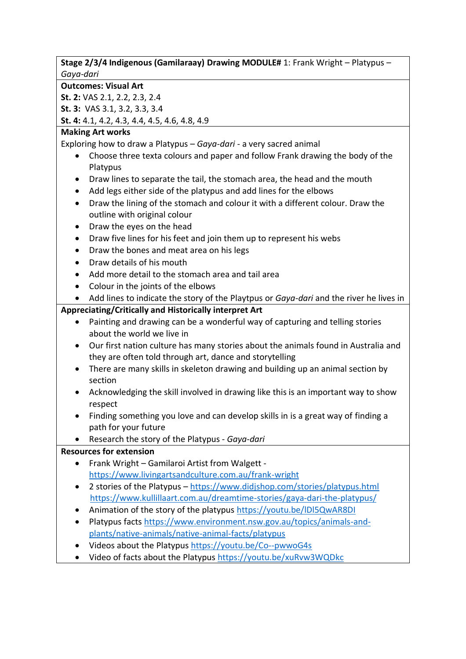**Stage 2/3/4 Indigenous (Gamilaraay) Drawing MODULE#** 1: Frank Wright – Platypus – *Gaya-dari*

#### **Outcomes: Visual Art**

**St. 2:** VAS 2.1, 2.2, 2.3, 2.4

**St. 3:** VAS 3.1, 3.2, 3.3, 3.4

**St. 4:** 4.1, 4.2, 4.3, 4.4, 4.5, 4.6, 4.8, 4.9

## **Making Art works**

Exploring how to draw a Platypus – *Gaya-dari* - a very sacred animal

- Choose three texta colours and paper and follow Frank drawing the body of the Platypus
- Draw lines to separate the tail, the stomach area, the head and the mouth
- Add legs either side of the platypus and add lines for the elbows
- Draw the lining of the stomach and colour it with a different colour. Draw the outline with original colour
- Draw the eyes on the head
- Draw five lines for his feet and join them up to represent his webs
- Draw the bones and meat area on his legs
- Draw details of his mouth
- Add more detail to the stomach area and tail area
- Colour in the joints of the elbows
- Add lines to indicate the story of the Playtpus or *Gaya-dari* and the river he lives in

#### **Appreciating/Critically and Historically interpret Art**

- Painting and drawing can be a wonderful way of capturing and telling stories about the world we live in
- Our first nation culture has many stories about the animals found in Australia and they are often told through art, dance and storytelling
- There are many skills in skeleton drawing and building up an animal section by section
- Acknowledging the skill involved in drawing like this is an important way to show respect
- Finding something you love and can develop skills in is a great way of finding a path for your future

• Research the story of the Platypus - *Gaya-dari*

- Frank Wright Gamilaroi Artist from Walgett <https://www.livingartsandculture.com.au/frank-wright>
- 2 stories of the Platypus <https://www.didjshop.com/stories/platypus.html> <https://www.kullillaart.com.au/dreamtime-stories/gaya-dari-the-platypus/>
- Animation of the story of the platypus https://youtu.be/IDI5QwAR8DI
- Platypus fact[s https://www.environment.nsw.gov.au/topics/animals-and](https://www.environment.nsw.gov.au/topics/animals-and-plants/native-animals/native-animal-facts/platypus)[plants/native-animals/native-animal-facts/platypus](https://www.environment.nsw.gov.au/topics/animals-and-plants/native-animals/native-animal-facts/platypus)
- Videos about the Platypus<https://youtu.be/Co--pwwoG4s>
- Video of facts about the Platypu[s https://youtu.be/xuRvw3WQDkc](https://youtu.be/xuRvw3WQDkc)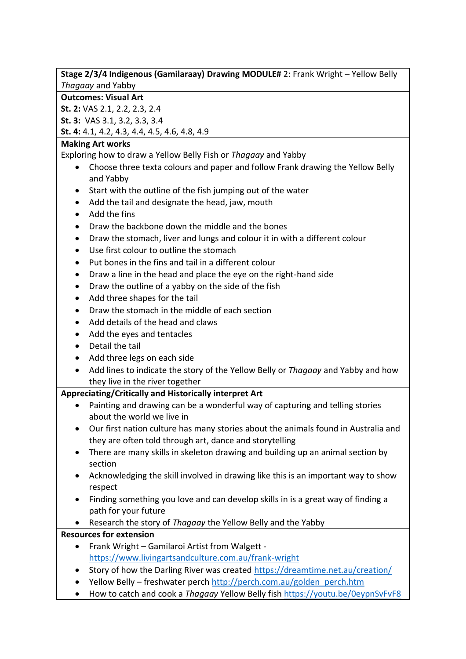**Stage 2/3/4 Indigenous (Gamilaraay) Drawing MODULE#** 2: Frank Wright – Yellow Belly *Thagaay* and Yabby

#### **Outcomes: Visual Art**

**St. 2:** VAS 2.1, 2.2, 2.3, 2.4

**St. 3:** VAS 3.1, 3.2, 3.3, 3.4

**St. 4:** 4.1, 4.2, 4.3, 4.4, 4.5, 4.6, 4.8, 4.9

# **Making Art works**

Exploring how to draw a Yellow Belly Fish or *Thagaay* and Yabby

- Choose three texta colours and paper and follow Frank drawing the Yellow Belly and Yabby
- Start with the outline of the fish jumping out of the water
- Add the tail and designate the head, jaw, mouth
- Add the fins
- Draw the backbone down the middle and the bones
- Draw the stomach, liver and lungs and colour it in with a different colour
- Use first colour to outline the stomach
- Put bones in the fins and tail in a different colour
- Draw a line in the head and place the eye on the right-hand side
- Draw the outline of a yabby on the side of the fish
- Add three shapes for the tail
- Draw the stomach in the middle of each section
- Add details of the head and claws
- Add the eyes and tentacles
- Detail the tail
- Add three legs on each side
- Add lines to indicate the story of the Yellow Belly or *Thagaay* and Yabby and how they live in the river together

# **Appreciating/Critically and Historically interpret Art**

- Painting and drawing can be a wonderful way of capturing and telling stories about the world we live in
- Our first nation culture has many stories about the animals found in Australia and they are often told through art, dance and storytelling
- There are many skills in skeleton drawing and building up an animal section by section
- Acknowledging the skill involved in drawing like this is an important way to show respect
- Finding something you love and can develop skills in is a great way of finding a path for your future
- Research the story of *Thagaay* the Yellow Belly and the Yabby

- Frank Wright Gamilaroi Artist from Walgett <https://www.livingartsandculture.com.au/frank-wright>
- Story of how the Darling River was created<https://dreamtime.net.au/creation/>
- Yellow Belly freshwater perch [http://perch.com.au/golden\\_perch.htm](http://perch.com.au/golden_perch.htm)
- How to catch and cook a *Thagaay* Yellow Belly fish <https://youtu.be/0eypnSvFvF8>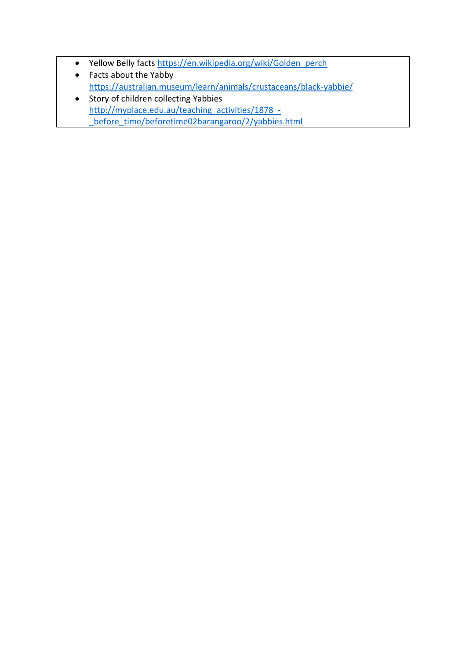- Yellow Belly fact[s https://en.wikipedia.org/wiki/Golden\\_perch](https://en.wikipedia.org/wiki/Golden_perch)
- Facts about the Yabby <https://australian.museum/learn/animals/crustaceans/black-yabbie/>
- Story of children collecting Yabbies [http://myplace.edu.au/teaching\\_activities/1878\\_](http://myplace.edu.au/teaching_activities/1878_-_before_time/beforetime02barangaroo/2/yabbies.html) before\_time/beforetime02barangaroo/2/yabbies.html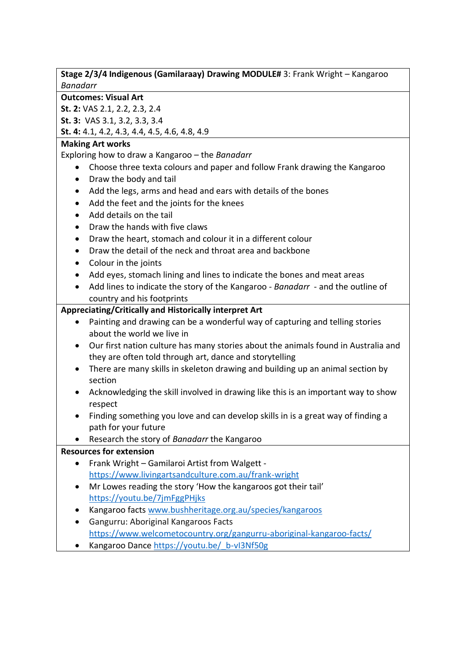**Stage 2/3/4 Indigenous (Gamilaraay) Drawing MODULE#** 3: Frank Wright – Kangaroo *Banadarr*

#### **Outcomes: Visual Art**

**St. 2:** VAS 2.1, 2.2, 2.3, 2.4

**St. 3:** VAS 3.1, 3.2, 3.3, 3.4

**St. 4:** 4.1, 4.2, 4.3, 4.4, 4.5, 4.6, 4.8, 4.9

## **Making Art works**

Exploring how to draw a Kangaroo – the *Banadarr*

- Choose three texta colours and paper and follow Frank drawing the Kangaroo
- Draw the body and tail
- Add the legs, arms and head and ears with details of the bones
- Add the feet and the joints for the knees
- Add details on the tail
- Draw the hands with five claws
- Draw the heart, stomach and colour it in a different colour
- Draw the detail of the neck and throat area and backbone
- Colour in the joints
- Add eyes, stomach lining and lines to indicate the bones and meat areas
- Add lines to indicate the story of the Kangaroo *Banadarr* and the outline of country and his footprints

# **Appreciating/Critically and Historically interpret Art**

- Painting and drawing can be a wonderful way of capturing and telling stories about the world we live in
- Our first nation culture has many stories about the animals found in Australia and they are often told through art, dance and storytelling
- There are many skills in skeleton drawing and building up an animal section by section
- Acknowledging the skill involved in drawing like this is an important way to show respect
- Finding something you love and can develop skills in is a great way of finding a path for your future
- Research the story of *Banadarr* the Kangaroo

- Frank Wright Gamilaroi Artist from Walgett <https://www.livingartsandculture.com.au/frank-wright>
- Mr Lowes reading the story 'How the kangaroos got their tail' <https://youtu.be/7jmFggPHjks>
- Kangaroo facts [www.bushheritage.org.au/species/kangaroos](http://www.bushheritage.org.au/species/kangaroos)
- Gangurru: Aboriginal Kangaroos Facts <https://www.welcometocountry.org/gangurru-aboriginal-kangaroo-facts/>
- Kangaroo Dance https://youtu.be/ b-vI3Nf50g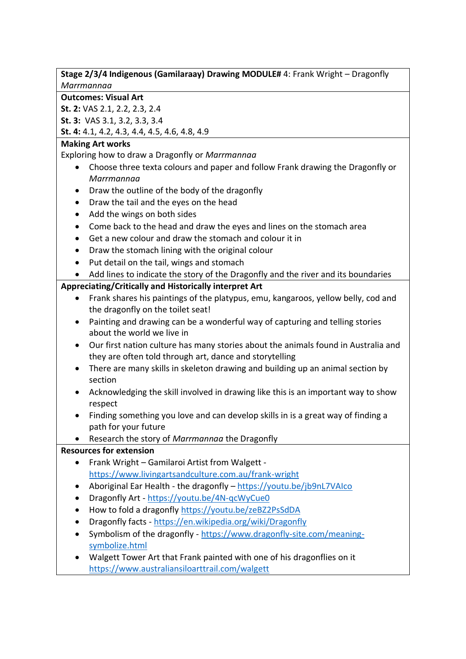**Stage 2/3/4 Indigenous (Gamilaraay) Drawing MODULE#** 4: Frank Wright – Dragonfly *Marrmannaa* 

#### **Outcomes: Visual Art**

**St. 2:** VAS 2.1, 2.2, 2.3, 2.4

**St. 3:** VAS 3.1, 3.2, 3.3, 3.4

**St. 4:** 4.1, 4.2, 4.3, 4.4, 4.5, 4.6, 4.8, 4.9

## **Making Art works**

Exploring how to draw a Dragonfly or *Marrmannaa*

- Choose three texta colours and paper and follow Frank drawing the Dragonfly or *Marrmannaa*
- Draw the outline of the body of the dragonfly
- Draw the tail and the eyes on the head
- Add the wings on both sides
- Come back to the head and draw the eyes and lines on the stomach area
- Get a new colour and draw the stomach and colour it in
- Draw the stomach lining with the original colour
- Put detail on the tail, wings and stomach

• Add lines to indicate the story of the Dragonfly and the river and its boundaries

## **Appreciating/Critically and Historically interpret Art**

- Frank shares his paintings of the platypus, emu, kangaroos, yellow belly, cod and the dragonfly on the toilet seat!
- Painting and drawing can be a wonderful way of capturing and telling stories about the world we live in
- Our first nation culture has many stories about the animals found in Australia and they are often told through art, dance and storytelling
- There are many skills in skeleton drawing and building up an animal section by section
- Acknowledging the skill involved in drawing like this is an important way to show respect
- Finding something you love and can develop skills in is a great way of finding a path for your future
- Research the story of *Marrmannaa* the Dragonfly

- Frank Wright Gamilaroi Artist from Walgett <https://www.livingartsandculture.com.au/frank-wright>
- Aboriginal Ear Health the dragonfly <https://youtu.be/jb9nL7VAIco>
- Dragonfly Art <https://youtu.be/4N-qcWyCue0>
- How to fold a dragonfly<https://youtu.be/zeBZ2PsSdDA>
- Dragonfly facts <https://en.wikipedia.org/wiki/Dragonfly>
- Symbolism of the dragonfly [https://www.dragonfly-site.com/meaning](https://www.dragonfly-site.com/meaning-symbolize.html)[symbolize.html](https://www.dragonfly-site.com/meaning-symbolize.html)
- Walgett Tower Art that Frank painted with one of his dragonflies on it <https://www.australiansiloarttrail.com/walgett>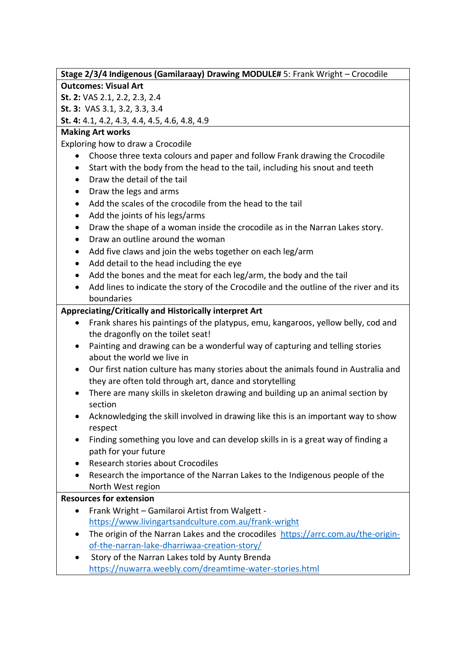**Stage 2/3/4 Indigenous (Gamilaraay) Drawing MODULE#** 5: Frank Wright – Crocodile

#### **Outcomes: Visual Art**

**St. 2:** VAS 2.1, 2.2, 2.3, 2.4

**St. 3:** VAS 3.1, 3.2, 3.3, 3.4

**St. 4:** 4.1, 4.2, 4.3, 4.4, 4.5, 4.6, 4.8, 4.9

#### **Making Art works**

Exploring how to draw a Crocodile

- Choose three texta colours and paper and follow Frank drawing the Crocodile
- Start with the body from the head to the tail, including his snout and teeth
- Draw the detail of the tail
- Draw the legs and arms
- Add the scales of the crocodile from the head to the tail
- Add the joints of his legs/arms
- Draw the shape of a woman inside the crocodile as in the Narran Lakes story.
- Draw an outline around the woman
- Add five claws and join the webs together on each leg/arm
- Add detail to the head including the eye
- Add the bones and the meat for each leg/arm, the body and the tail
- Add lines to indicate the story of the Crocodile and the outline of the river and its boundaries

## **Appreciating/Critically and Historically interpret Art**

- Frank shares his paintings of the platypus, emu, kangaroos, yellow belly, cod and the dragonfly on the toilet seat!
- Painting and drawing can be a wonderful way of capturing and telling stories about the world we live in
- Our first nation culture has many stories about the animals found in Australia and they are often told through art, dance and storytelling
- There are many skills in skeleton drawing and building up an animal section by section
- Acknowledging the skill involved in drawing like this is an important way to show respect
- Finding something you love and can develop skills in is a great way of finding a path for your future
- Research stories about Crocodiles
- Research the importance of the Narran Lakes to the Indigenous people of the North West region

- Frank Wright Gamilaroi Artist from Walgett <https://www.livingartsandculture.com.au/frank-wright>
- The origin of the Narran Lakes and the crocodiles [https://arrc.com.au/the-origin](https://arrc.com.au/the-origin-of-the-narran-lake-dharriwaa-creation-story/)[of-the-narran-lake-dharriwaa-creation-story/](https://arrc.com.au/the-origin-of-the-narran-lake-dharriwaa-creation-story/)
- Story of the Narran Lakes told by Aunty Brenda <https://nuwarra.weebly.com/dreamtime-water-stories.html>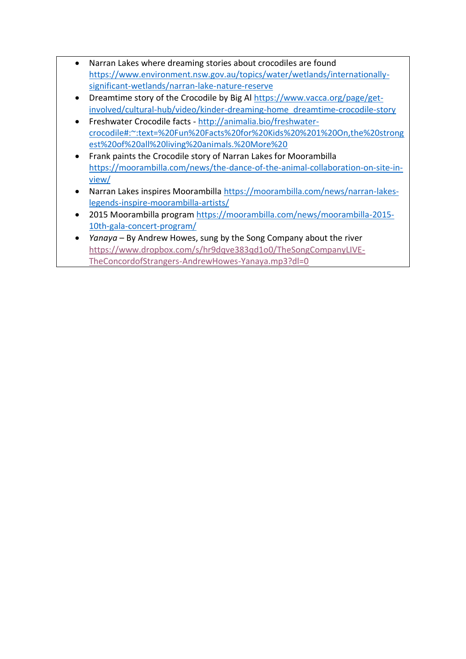- Narran Lakes where dreaming stories about crocodiles are found [https://www.environment.nsw.gov.au/topics/water/wetlands/internationally](https://www.environment.nsw.gov.au/topics/water/wetlands/internationally-significant-wetlands/narran-lake-nature-reserve)[significant-wetlands/narran-lake-nature-reserve](https://www.environment.nsw.gov.au/topics/water/wetlands/internationally-significant-wetlands/narran-lake-nature-reserve)
- Dreamtime story of the Crocodile by Big Al [https://www.vacca.org/page/get](https://www.vacca.org/page/get-involved/cultural-hub/video/kinder-dreaming-home_dreamtime-crocodile-story)[involved/cultural-hub/video/kinder-dreaming-home\\_dreamtime-crocodile-story](https://www.vacca.org/page/get-involved/cultural-hub/video/kinder-dreaming-home_dreamtime-crocodile-story)
- Freshwater Crocodile facts [http://animalia.bio/freshwater](http://animalia.bio/freshwater-crocodile#:~:text=%20Fun%20Facts%20for%20Kids%20%201%20On,the%20strongest%20of%20all%20living%20animals.%20More%20)[crocodile#:~:text=%20Fun%20Facts%20for%20Kids%20%201%20On,the%20strong](http://animalia.bio/freshwater-crocodile#:~:text=%20Fun%20Facts%20for%20Kids%20%201%20On,the%20strongest%20of%20all%20living%20animals.%20More%20) [est%20of%20all%20living%20animals.%20More%20](http://animalia.bio/freshwater-crocodile#:~:text=%20Fun%20Facts%20for%20Kids%20%201%20On,the%20strongest%20of%20all%20living%20animals.%20More%20)
- Frank paints the Crocodile story of Narran Lakes for Moorambilla [https://moorambilla.com/news/the-dance-of-the-animal-collaboration-on-site-in](https://moorambilla.com/news/the-dance-of-the-animal-collaboration-on-site-in-view/)[view/](https://moorambilla.com/news/the-dance-of-the-animal-collaboration-on-site-in-view/)
- Narran Lakes inspires Moorambilla [https://moorambilla.com/news/narran-lakes](https://moorambilla.com/news/narran-lakes-legends-inspire-moorambilla-artists/)[legends-inspire-moorambilla-artists/](https://moorambilla.com/news/narran-lakes-legends-inspire-moorambilla-artists/)
- 2015 Moorambilla program [https://moorambilla.com/news/moorambilla-2015-](https://moorambilla.com/news/moorambilla-2015-10th-gala-concert-program/) [10th-gala-concert-program/](https://moorambilla.com/news/moorambilla-2015-10th-gala-concert-program/)
- *Yanaya* By Andrew Howes, sung by the Song Company about the river [https://www.dropbox.com/s/hr9dqve383qd1o0/TheSongCompanyLIVE-](https://www.dropbox.com/s/hr9dqve383qd1o0/TheSongCompanyLIVE-TheConcordofStrangers-AndrewHowes-Yanaya.mp3?dl=0)[TheConcordofStrangers-AndrewHowes-Yanaya.mp3?dl=0](https://www.dropbox.com/s/hr9dqve383qd1o0/TheSongCompanyLIVE-TheConcordofStrangers-AndrewHowes-Yanaya.mp3?dl=0)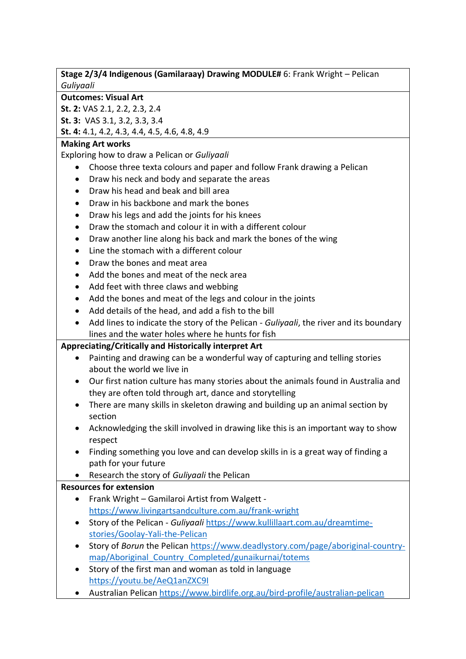#### **Stage 2/3/4 Indigenous (Gamilaraay) Drawing MODULE#** 6: Frank Wright – Pelican *Guliyaali*

#### **Outcomes: Visual Art**

**St. 2:** VAS 2.1, 2.2, 2.3, 2.4

**St. 3:** VAS 3.1, 3.2, 3.3, 3.4

**St. 4:** 4.1, 4.2, 4.3, 4.4, 4.5, 4.6, 4.8, 4.9

## **Making Art works**

Exploring how to draw a Pelican or *Guliyaali*

- Choose three texta colours and paper and follow Frank drawing a Pelican
- Draw his neck and body and separate the areas
- Draw his head and beak and bill area
- Draw in his backbone and mark the bones
- Draw his legs and add the joints for his knees
- Draw the stomach and colour it in with a different colour
- Draw another line along his back and mark the bones of the wing
- Line the stomach with a different colour
- Draw the bones and meat area
- Add the bones and meat of the neck area
- Add feet with three claws and webbing
- Add the bones and meat of the legs and colour in the joints
- Add details of the head, and add a fish to the bill
- Add lines to indicate the story of the Pelican *Guliyaali*, the river and its boundary lines and the water holes where he hunts for fish

## **Appreciating/Critically and Historically interpret Art**

- Painting and drawing can be a wonderful way of capturing and telling stories about the world we live in
- Our first nation culture has many stories about the animals found in Australia and they are often told through art, dance and storytelling
- There are many skills in skeleton drawing and building up an animal section by section
- Acknowledging the skill involved in drawing like this is an important way to show respect
- Finding something you love and can develop skills in is a great way of finding a path for your future
- Research the story of *Guliyaali* the Pelican

- Frank Wright Gamilaroi Artist from Walgett <https://www.livingartsandculture.com.au/frank-wright>
- Story of the Pelican *Guliyaali* [https://www.kullillaart.com.au/dreamtime](https://www.kullillaart.com.au/dreamtime-stories/Goolay-Yali-the-Pelican)[stories/Goolay-Yali-the-Pelican](https://www.kullillaart.com.au/dreamtime-stories/Goolay-Yali-the-Pelican)
- Story of *Borun* the Pelican [https://www.deadlystory.com/page/aboriginal-country](https://www.deadlystory.com/page/aboriginal-country-map/Aboriginal_Country_Completed/gunaikurnai/totems)[map/Aboriginal\\_Country\\_Completed/gunaikurnai/totems](https://www.deadlystory.com/page/aboriginal-country-map/Aboriginal_Country_Completed/gunaikurnai/totems)
- Story of the first man and woman as told in language <https://youtu.be/AeQ1anZXC9I>
- Australian Pelican<https://www.birdlife.org.au/bird-profile/australian-pelican>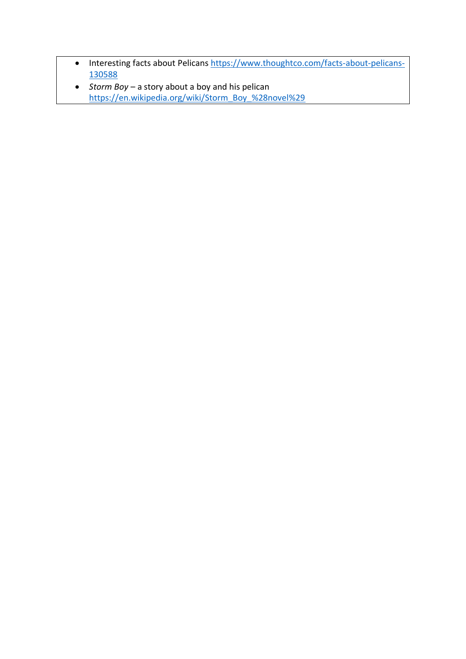- Interesting facts about Pelicans [https://www.thoughtco.com/facts-about-pelicans-](https://www.thoughtco.com/facts-about-pelicans-130588)[130588](https://www.thoughtco.com/facts-about-pelicans-130588)
- *Storm Boy* a story about a boy and his pelican [https://en.wikipedia.org/wiki/Storm\\_Boy\\_%28novel%29](https://en.wikipedia.org/wiki/Storm_Boy_%28novel%29)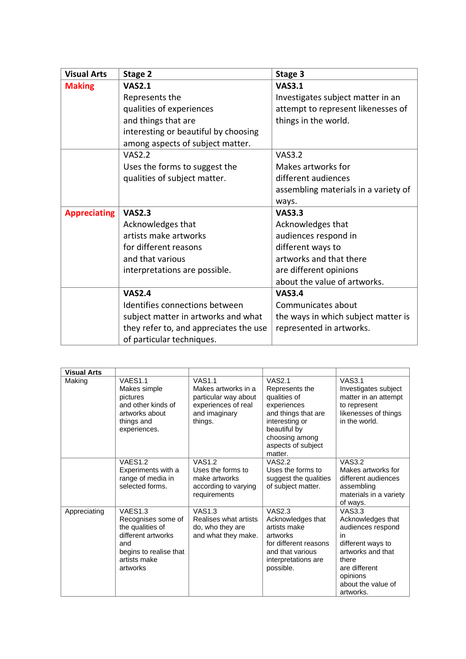| <b>Visual Arts</b>  | Stage 2                                | Stage 3                              |
|---------------------|----------------------------------------|--------------------------------------|
| <b>Making</b>       | <b>VAS2.1</b>                          | <b>VAS3.1</b>                        |
|                     | Represents the                         | Investigates subject matter in an    |
|                     | qualities of experiences               | attempt to represent likenesses of   |
|                     | and things that are                    | things in the world.                 |
|                     | interesting or beautiful by choosing   |                                      |
|                     | among aspects of subject matter.       |                                      |
|                     | <b>VAS2.2</b>                          | <b>VAS3.2</b>                        |
|                     | Uses the forms to suggest the          | Makes artworks for                   |
|                     | qualities of subject matter.           | different audiences                  |
|                     |                                        | assembling materials in a variety of |
|                     |                                        | ways.                                |
| <b>Appreciating</b> | <b>VAS2.3</b>                          | <b>VAS3.3</b>                        |
|                     | Acknowledges that                      | Acknowledges that                    |
|                     | artists make artworks                  | audiences respond in                 |
|                     | for different reasons                  | different ways to                    |
|                     | and that various                       | artworks and that there              |
|                     | interpretations are possible.          | are different opinions               |
|                     |                                        | about the value of artworks.         |
|                     | <b>VAS2.4</b>                          | <b>VAS3.4</b>                        |
|                     | Identifies connections between         | Communicates about                   |
|                     | subject matter in artworks and what    | the ways in which subject matter is  |
|                     | they refer to, and appreciates the use | represented in artworks.             |
|                     | of particular techniques.              |                                      |

| <b>Visual Arts</b> |                                                                                                                                                  |                                                                                                                 |                                                                                                                                                                            |                                                                                                                                                                           |
|--------------------|--------------------------------------------------------------------------------------------------------------------------------------------------|-----------------------------------------------------------------------------------------------------------------|----------------------------------------------------------------------------------------------------------------------------------------------------------------------------|---------------------------------------------------------------------------------------------------------------------------------------------------------------------------|
| Making             | VAES <sub>1.1</sub><br>Makes simple<br>pictures<br>and other kinds of<br>artworks about<br>things and<br>experiences.                            | <b>VAS1.1</b><br>Makes artworks in a<br>particular way about<br>experiences of real<br>and imaginary<br>things. | <b>VAS2.1</b><br>Represents the<br>qualities of<br>experiences<br>and things that are<br>interesting or<br>beautiful by<br>choosing among<br>aspects of subject<br>matter. | <b>VAS3.1</b><br>Investigates subject<br>matter in an attempt<br>to represent<br>likenesses of things<br>in the world.                                                    |
|                    | VAES <sub>1.2</sub><br>Experiments with a<br>range of media in<br>selected forms.                                                                | <b>VAS1.2</b><br>Uses the forms to<br>make artworks<br>according to varying<br>requirements                     | VAS2.2<br>Uses the forms to<br>suggest the qualities<br>of subject matter.                                                                                                 | VAS3.2<br>Makes artworks for<br>different audiences<br>assembling<br>materials in a variety<br>of ways.                                                                   |
| Appreciating       | VAES <sub>1.3</sub><br>Recognises some of<br>the qualities of<br>different artworks<br>and<br>begins to realise that<br>artists make<br>artworks | <b>VAS1.3</b><br>Realises what artists<br>do, who they are<br>and what they make.                               | VAS2.3<br>Acknowledges that<br>artists make<br>artworks<br>for different reasons<br>and that various<br>interpretations are<br>possible.                                   | VAS3.3<br>Acknowledges that<br>audiences respond<br>in<br>different ways to<br>artworks and that<br>there<br>are different<br>opinions<br>about the value of<br>artworks. |